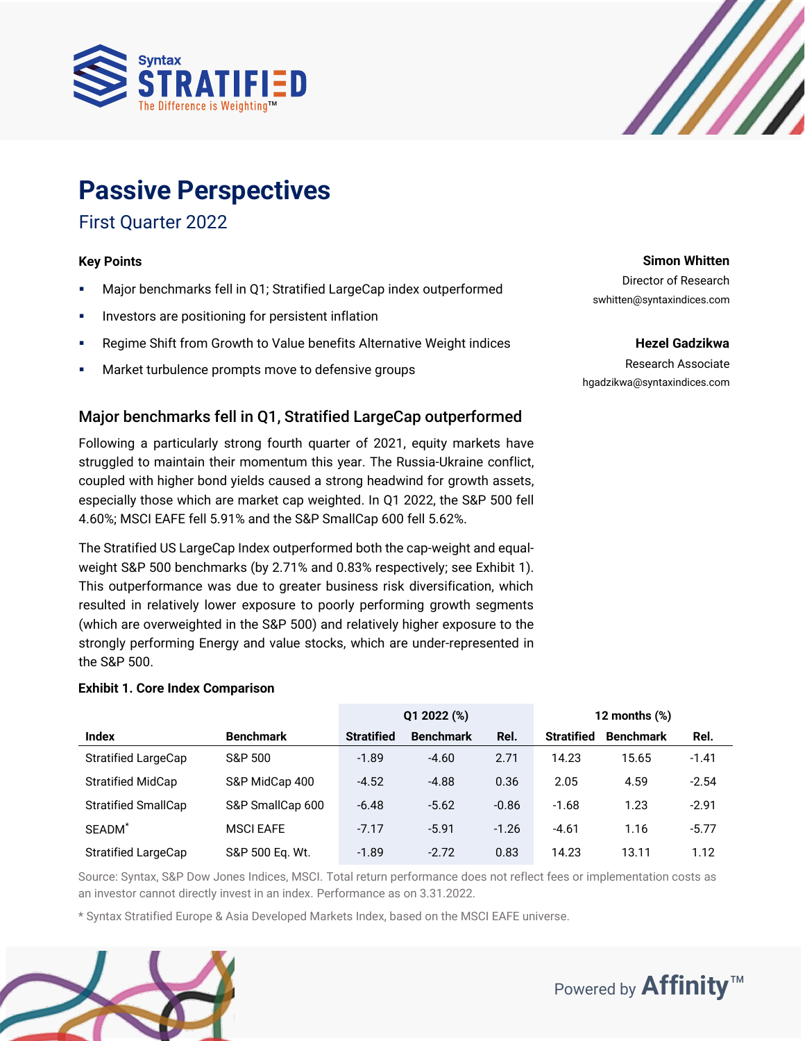



## **Passive Perspectives**

## First Quarter 2022

#### **Key Points**

- Major benchmarks fell in Q1; Stratified LargeCap index outperformed
- **·** Investors are positioning for persistent inflation
- Regime Shift from Growth to Value benefits Alternative Weight indices
- Market turbulence prompts move to defensive groups

## Major benchmarks fell in Q1, Stratified LargeCap outperformed

Following a particularly strong fourth quarter of 2021, equity markets have struggled to maintain their momentum this year. The Russia-Ukraine conflict, coupled with higher bond yields caused a strong headwind for growth assets, especially those which are market cap weighted. In Q1 2022, the S&P 500 fell 4.60%; MSCI EAFE fell 5.91% and the S&P SmallCap 600 fell 5.62%.

The Stratified US LargeCap Index outperformed both the cap-weight and equalweight S&P 500 benchmarks (by 2.71% and 0.83% respectively; see Exhibit 1). This outperformance was due to greater business risk diversification, which resulted in relatively lower exposure to poorly performing growth segments (which are overweighted in the S&P 500) and relatively higher exposure to the strongly performing Energy and value stocks, which are under-represented in the S&P 500.

#### **Exhibit 1. Core Index Comparison**

|                            |                  |                   | Q1 2022 (%)      |         | 12 months $(\%)$  |                  |         |  |
|----------------------------|------------------|-------------------|------------------|---------|-------------------|------------------|---------|--|
| <b>Index</b>               | <b>Benchmark</b> | <b>Stratified</b> | <b>Benchmark</b> | Rel.    | <b>Stratified</b> | <b>Benchmark</b> | Rel.    |  |
| <b>Stratified LargeCap</b> | S&P 500          | $-1.89$           | $-4.60$          | 2.71    | 14.23             | 15.65            | $-1.41$ |  |
| <b>Stratified MidCap</b>   | S&P MidCap 400   | $-4.52$           | $-4.88$          | 0.36    | 2.05              | 4.59             | $-2.54$ |  |
| <b>Stratified SmallCap</b> | S&P SmallCap 600 | $-6.48$           | $-5.62$          | $-0.86$ | $-1.68$           | 1.23             | $-2.91$ |  |
| SEADM <sup>*</sup>         | <b>MSCI EAFE</b> | $-7.17$           | $-5.91$          | $-1.26$ | $-4.61$           | 1.16             | $-5.77$ |  |
| <b>Stratified LargeCap</b> | S&P 500 Eq. Wt.  | $-1.89$           | $-2.72$          | 0.83    | 14.23             | 13.11            | 1.12    |  |

Source: Syntax, S&P Dow Jones Indices, MSCI. Total return performance does not reflect fees or implementation costs as an investor cannot directly invest in an index. Performance as on 3.31.2022.

\* Syntax Stratified Europe & Asia Developed Markets Index, based on the MSCI EAFE universe.



#### **Simon Whitten**

Director of Research swhitten@syntaxindices.com

#### **Hezel Gadzikwa**

Research Associate hgadzikwa@syntaxindices.com

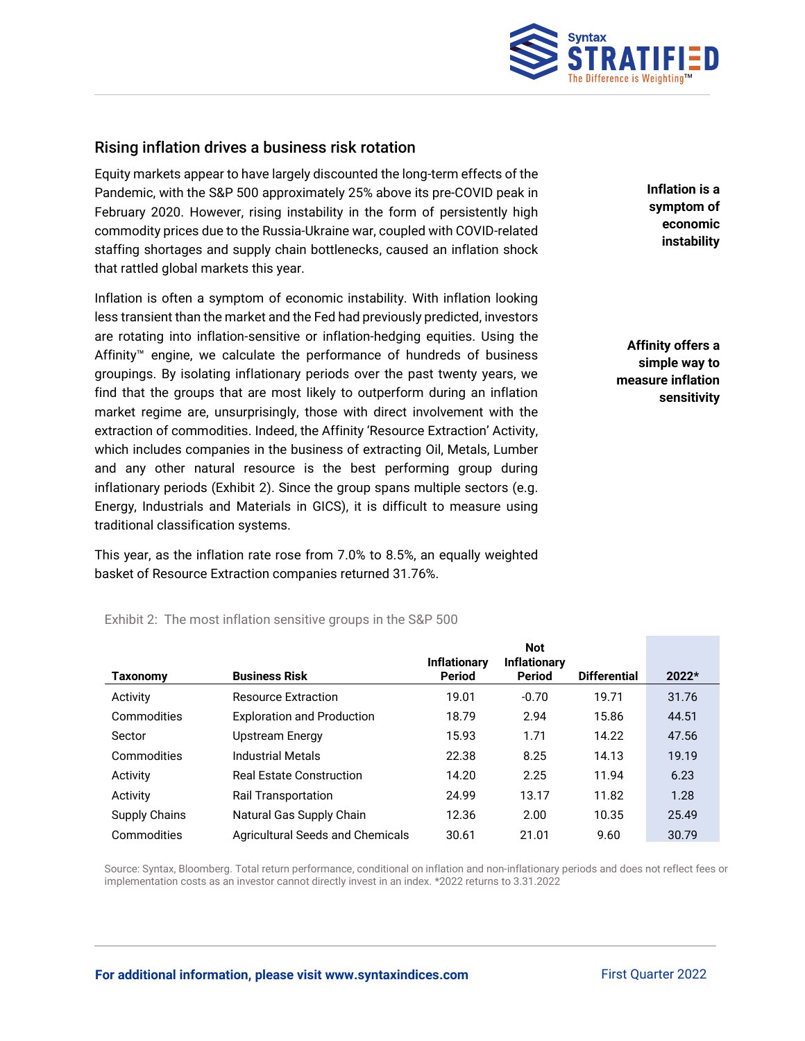

## Rising inflation drives a business risk rotation

Equity markets appear to have largely discounted the long-term effects of the Pandemic, with the S&P 500 approximately 25% above its pre-COVID peak in February 2020. However, rising instability in the form of persistently high commodity prices due to the Russia-Ukraine war, coupled with COVID-related staffing shortages and supply chain bottlenecks, caused an inflation shock that rattled global markets this year.

Inflation is often a symptom of economic instability. With inflation looking less transient than the market and the Fed had previously predicted, investors are rotating into inflation-sensitive or inflation-hedging equities. Using the Affinity™ engine, we calculate the performance of hundreds of business groupings. By isolating inflationary periods over the past twenty years, we find that the groups that are most likely to outperform during an inflation market regime are, unsurprisingly, those with direct involvement with the extraction of commodities. Indeed, the Affinity 'Resource Extraction' Activity, which includes companies in the business of extracting Oil, Metals, Lumber and any other natural resource is the best performing group during inflationary periods (Exhibit 2). Since the group spans multiple sectors (e.g. Energy, Industrials and Materials in GICS), it is difficult to measure using traditional classification systems.

This year, as the inflation rate rose from 7.0% to 8.5%, an equally weighted basket of Resource Extraction companies returned 31.76%.

Exhibit 2: The most inflation sensitive groups in the S&P 500

**Taxonomy Business Risk Inflationary Period Not Inflationary Period Differential 2022\*** Activity **Resource Extraction** 19.01 -0.70 19.71 31.76 Commodities Exploration and Production 18.79 2.94 15.86 44.51 Sector **15.93** Upstream Energy 15.93 1.71 14.22 47.56 Commodities Industrial Metals 22.38 8.25 14.13 19.19 Activity **Real Estate Construction** 14.20 2.25 11.94 6.23 Activity **Rail Transportation** 24.99 13.17 11.82 1.28 Supply Chains Matural Gas Supply Chain 12.36 2.00 10.35 25.49 Commodities Agricultural Seeds and Chemicals 30.61 21.01 9.60 30.79

Source: Syntax, Bloomberg. Total return performance, conditional on inflation and non-inflationary periods and does not reflect fees or implementation costs as an investor cannot directly invest in an index. \*2022 returns to 3.31.2022

**Inflation is a symptom of economic instability**

**Affinity offers a simple way to measure inflation sensitivity**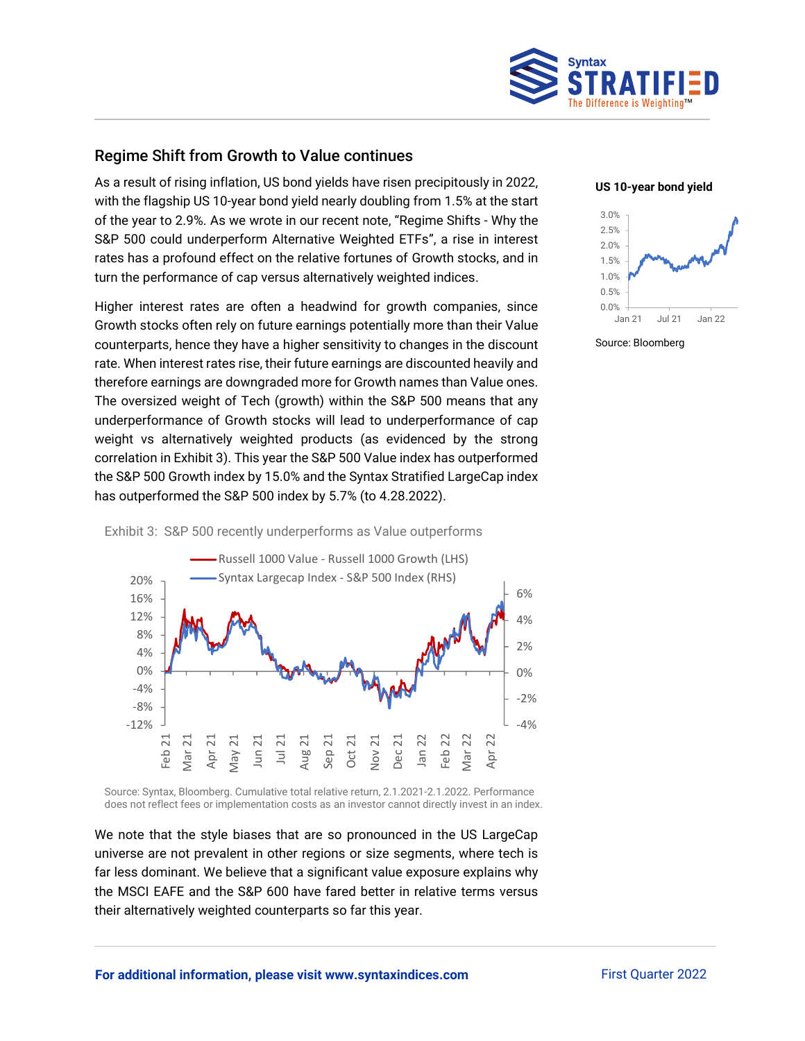

## Regime Shift from Growth to Value continues

As a result of rising inflation, US bond yields have risen precipitously in 2022, with the flagship US 10-year bond yield nearly doubling from 1.5% at the start of the year to 2.9%. As we wrote in our recent note, "Regime Shifts - Why the S&P 500 could underperform Alternative Weighted ETFs", a rise in interest rates has a profound effect on the relative fortunes of Growth stocks, and in turn the performance of cap versus alternatively weighted indices.

Higher interest rates are often a headwind for growth companies, since Growth stocks often rely on future earnings potentially more than their Value counterparts, hence they have a higher sensitivity to changes in the discount rate. When interest rates rise, their future earnings are discounted heavily and therefore earnings are downgraded more for Growth names than Value ones. The oversized weight of Tech (growth) within the S&P 500 means that any underperformance of Growth stocks will lead to underperformance of cap weight vs alternatively weighted products (as evidenced by the strong correlation in Exhibit 3). This year the S&P 500 Value index has outperformed the S&P 500 Growth index by 15.0% and the Syntax Stratified LargeCap index has outperformed the S&P 500 index by 5.7% (to 4.28.2022).





Source: Bloomberg



#### Exhibit 3: S&P 500 recently underperforms as Value outperforms

Source: Syntax, Bloomberg. Cumulative total relative return, 2.1.2021-2.1.2022. Performance does not reflect fees or implementation costs as an investor cannot directly invest in an index.

We note that the style biases that are so pronounced in the US LargeCap universe are not prevalent in other regions or size segments, where tech is far less dominant. We believe that a significant value exposure explains why the MSCI EAFE and the S&P 600 have fared better in relative terms versus their alternatively weighted counterparts so far this year.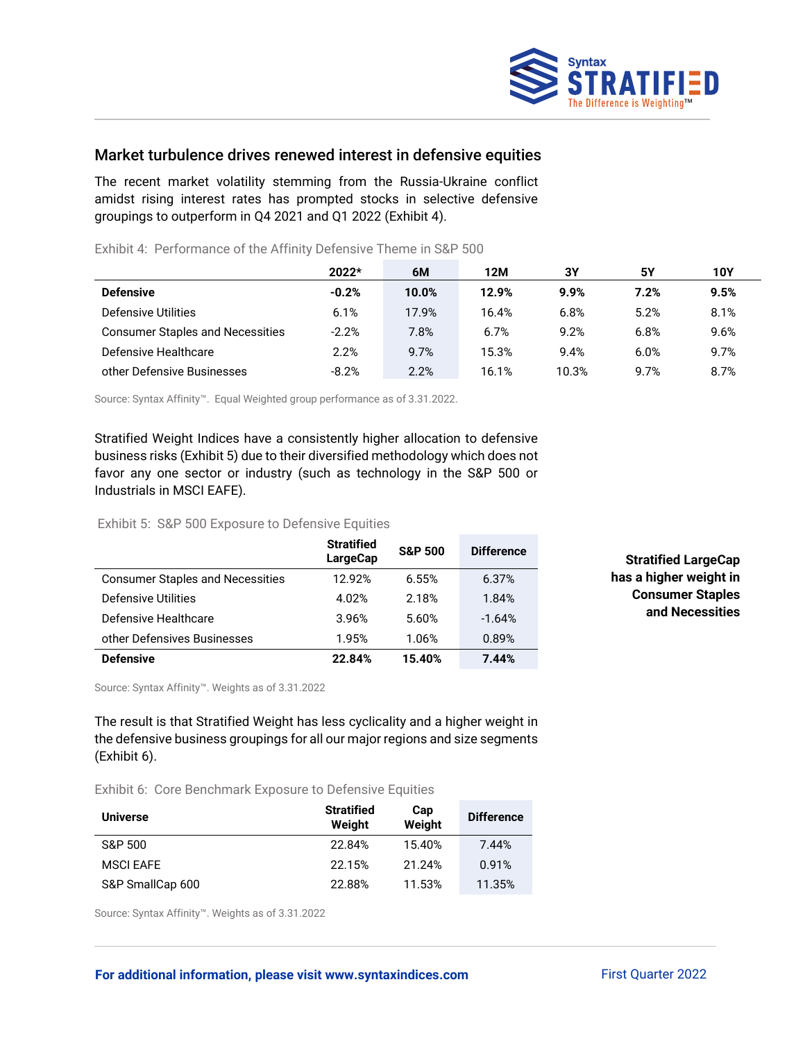

## Market turbulence drives renewed interest in defensive equities

The recent market volatility stemming from the Russia-Ukraine conflict amidst rising interest rates has prompted stocks in selective defensive groupings to outperform in Q4 2021 and Q1 2022 (Exhibit 4).

|                                         | $2022*$ | 6M    | 12M   | 3Υ    | 5Υ   | 10Y  |
|-----------------------------------------|---------|-------|-------|-------|------|------|
| <b>Defensive</b>                        | $-0.2%$ | 10.0% | 12.9% | 9.9%  | 7.2% | 9.5% |
| Defensive Utilities                     | 6.1%    | 17.9% | 16.4% | 6.8%  | 5.2% | 8.1% |
| <b>Consumer Staples and Necessities</b> | $-2.2%$ | 7.8%  | 6.7%  | 9.2%  | 6.8% | 9.6% |
| Defensive Healthcare                    | 2.2%    | 9.7%  | 15.3% | 9.4%  | 6.0% | 9.7% |
| other Defensive Businesses              | $-8.2%$ | 2.2%  | 16.1% | 10.3% | 9.7% | 8.7% |

Exhibit 4: Performance of the Affinity Defensive Theme in S&P 500

Source: Syntax Affinity™. Equal Weighted group performance as of 3.31.2022.

Stratified Weight Indices have a consistently higher allocation to defensive business risks (Exhibit 5) due to their diversified methodology which does not favor any one sector or industry (such as technology in the S&P 500 or Industrials in MSCI EAFE).

#### Exhibit 5: S&P 500 Exposure to Defensive Equities

|                                         | <b>Stratified</b><br><b>LargeCap</b> | <b>S&amp;P 500</b> | <b>Difference</b> |
|-----------------------------------------|--------------------------------------|--------------------|-------------------|
| <b>Consumer Staples and Necessities</b> | 12.92%                               | 6.55%              | 6.37%             |
| Defensive Utilities                     | 4.02%                                | 2.18%              | 1.84%             |
| Defensive Healthcare                    | 3.96%                                | 5.60%              | $-1.64%$          |
| other Defensives Businesses             | 1.95%                                | 1.06%              | 0.89%             |
| <b>Defensive</b>                        | 22.84%                               | 15.40%             | 7.44%             |

**Stratified LargeCap has a higher weight in Consumer Staples and Necessities**

Source: Syntax Affinity™. Weights as of 3.31.2022

The result is that Stratified Weight has less cyclicality and a higher weight in the defensive business groupings for all our major regions and size segments (Exhibit 6).

Exhibit 6: Core Benchmark Exposure to Defensive Equities

| <b>Universe</b>  | <b>Stratified</b><br>Weight | Cap<br>Weight | <b>Difference</b> |
|------------------|-----------------------------|---------------|-------------------|
| S&P 500          | 22.84%                      | 15.40%        | 7.44%             |
| <b>MSCI EAFE</b> | 22.15%                      | 21.24%        | 0.91%             |
| S&P SmallCap 600 | 22.88%                      | 11.53%        | 11.35%            |

Source: Syntax Affinity™. Weights as of 3.31.2022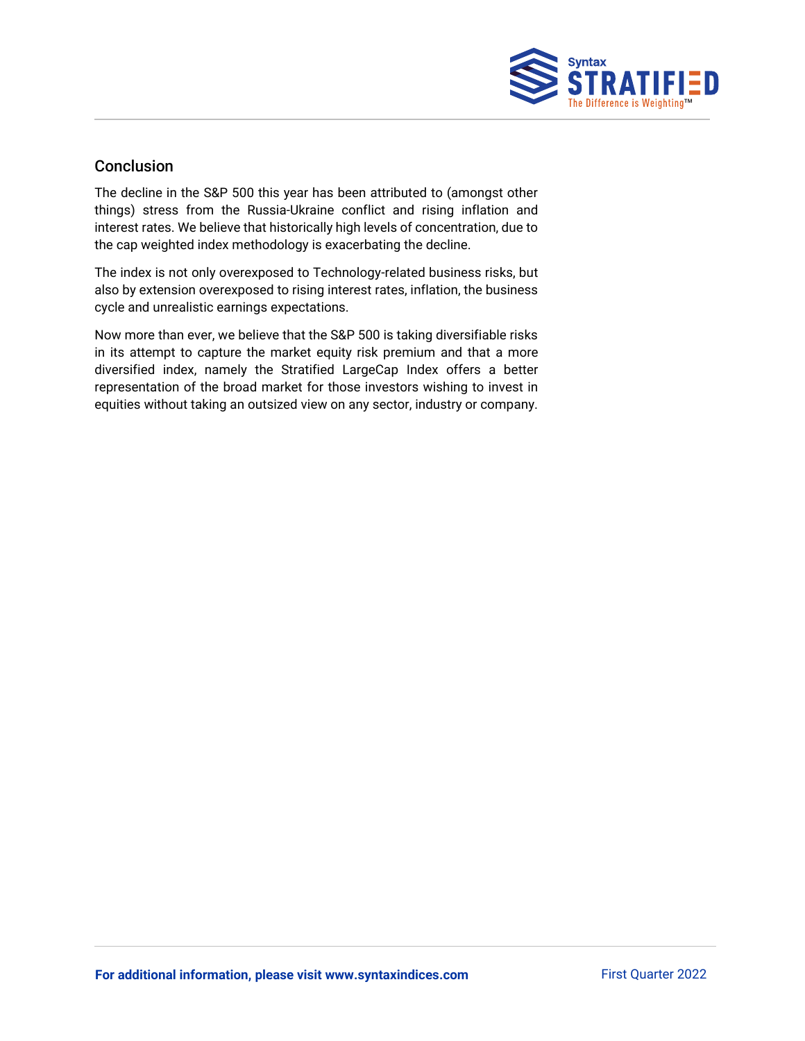

## Conclusion

The decline in the S&P 500 this year has been attributed to (amongst other things) stress from the Russia-Ukraine conflict and rising inflation and interest rates. We believe that historically high levels of concentration, due to the cap weighted index methodology is exacerbating the decline.

The index is not only overexposed to Technology-related business risks, but also by extension overexposed to rising interest rates, inflation, the business cycle and unrealistic earnings expectations.

Now more than ever, we believe that the S&P 500 is taking diversifiable risks in its attempt to capture the market equity risk premium and that a more diversified index, namely the Stratified LargeCap Index offers a better representation of the broad market for those investors wishing to invest in equities without taking an outsized view on any sector, industry or company.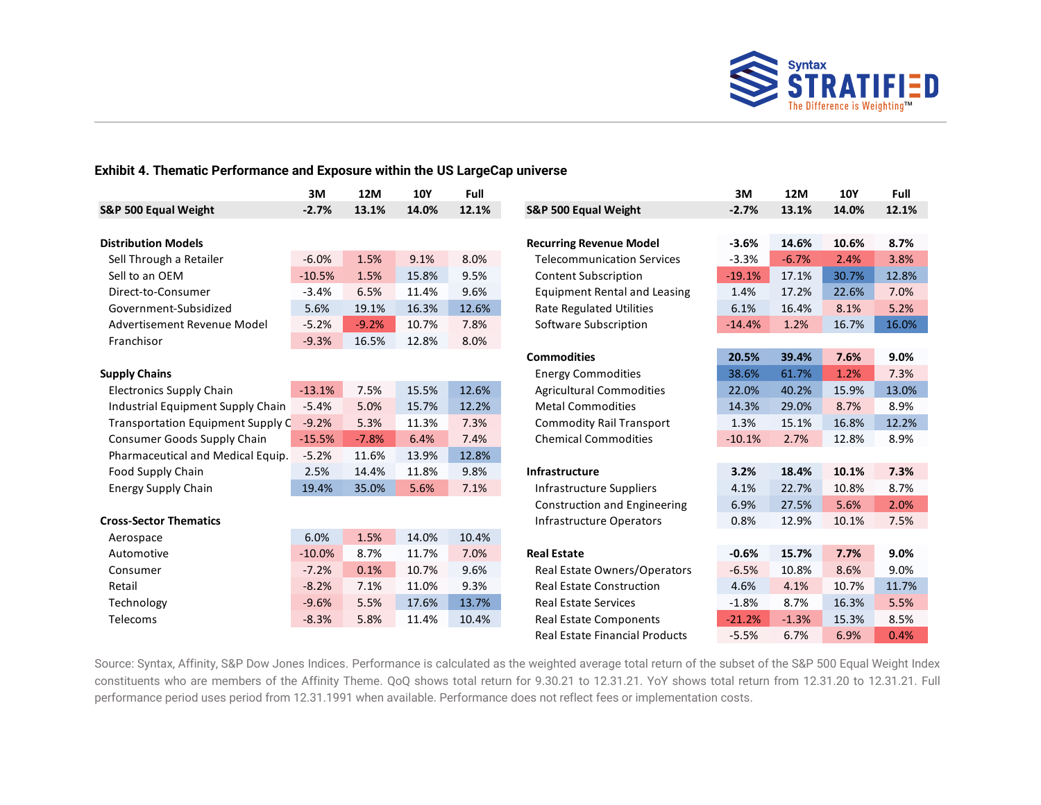

### **Exhibit 4. Thematic Performance and Exposure within the US LargeCap universe**

|                                   | 3M       | 12M     | <b>10Y</b> | Full  |                                       | 3M       | <b>12M</b> | <b>10Y</b> | <b>Full</b> |
|-----------------------------------|----------|---------|------------|-------|---------------------------------------|----------|------------|------------|-------------|
| S&P 500 Equal Weight              | $-2.7%$  | 13.1%   | 14.0%      | 12.1% | S&P 500 Equal Weight                  | $-2.7%$  | 13.1%      | 14.0%      | 12.1%       |
| <b>Distribution Models</b>        |          |         |            |       | <b>Recurring Revenue Model</b>        | $-3.6%$  | 14.6%      | 10.6%      | 8.7%        |
| Sell Through a Retailer           | $-6.0%$  | 1.5%    | 9.1%       | 8.0%  | <b>Telecommunication Services</b>     | $-3.3%$  | $-6.7%$    | 2.4%       | 3.8%        |
| Sell to an OEM                    | $-10.5%$ | 1.5%    | 15.8%      | 9.5%  | <b>Content Subscription</b>           | $-19.1%$ | 17.1%      | 30.7%      | 12.8%       |
| Direct-to-Consumer                | $-3.4%$  | 6.5%    | 11.4%      | 9.6%  |                                       | 1.4%     | 17.2%      | 22.6%      | 7.0%        |
|                                   |          |         |            |       | <b>Equipment Rental and Leasing</b>   |          |            |            |             |
| Government-Subsidized             | 5.6%     | 19.1%   | 16.3%      | 12.6% | <b>Rate Regulated Utilities</b>       | 6.1%     | 16.4%      | 8.1%       | 5.2%        |
| Advertisement Revenue Model       | $-5.2%$  | $-9.2%$ | 10.7%      | 7.8%  | Software Subscription                 | $-14.4%$ | 1.2%       | 16.7%      | 16.0%       |
| Franchisor                        | $-9.3%$  | 16.5%   | 12.8%      | 8.0%  |                                       |          |            |            |             |
|                                   |          |         |            |       | <b>Commodities</b>                    | 20.5%    | 39.4%      | 7.6%       | 9.0%        |
| <b>Supply Chains</b>              |          |         |            |       | <b>Energy Commodities</b>             | 38.6%    | 61.7%      | 1.2%       | 7.3%        |
| <b>Electronics Supply Chain</b>   | $-13.1%$ | 7.5%    | 15.5%      | 12.6% | <b>Agricultural Commodities</b>       | 22.0%    | 40.2%      | 15.9%      | 13.0%       |
| Industrial Equipment Supply Chain | $-5.4%$  | 5.0%    | 15.7%      | 12.2% | <b>Metal Commodities</b>              | 14.3%    | 29.0%      | 8.7%       | 8.9%        |
| Transportation Equipment Supply C | $-9.2%$  | 5.3%    | 11.3%      | 7.3%  | <b>Commodity Rail Transport</b>       | 1.3%     | 15.1%      | 16.8%      | 12.2%       |
| Consumer Goods Supply Chain       | $-15.5%$ | $-7.8%$ | 6.4%       | 7.4%  | <b>Chemical Commodities</b>           | $-10.1%$ | 2.7%       | 12.8%      | 8.9%        |
| Pharmaceutical and Medical Equip. | $-5.2%$  | 11.6%   | 13.9%      | 12.8% |                                       |          |            |            |             |
| Food Supply Chain                 | 2.5%     | 14.4%   | 11.8%      | 9.8%  | Infrastructure                        | 3.2%     | 18.4%      | 10.1%      | 7.3%        |
| <b>Energy Supply Chain</b>        | 19.4%    | 35.0%   | 5.6%       | 7.1%  | Infrastructure Suppliers              | 4.1%     | 22.7%      | 10.8%      | 8.7%        |
|                                   |          |         |            |       | <b>Construction and Engineering</b>   | 6.9%     | 27.5%      | 5.6%       | 2.0%        |
| <b>Cross-Sector Thematics</b>     |          |         |            |       | Infrastructure Operators              | 0.8%     | 12.9%      | 10.1%      | 7.5%        |
| Aerospace                         | 6.0%     | 1.5%    | 14.0%      | 10.4% |                                       |          |            |            |             |
| Automotive                        | $-10.0%$ | 8.7%    | 11.7%      | 7.0%  | <b>Real Estate</b>                    | $-0.6%$  | 15.7%      | 7.7%       | 9.0%        |
| Consumer                          | $-7.2%$  | 0.1%    | 10.7%      | 9.6%  | Real Estate Owners/Operators          | $-6.5%$  | 10.8%      | 8.6%       | 9.0%        |
| Retail                            | $-8.2%$  | 7.1%    | 11.0%      | 9.3%  | <b>Real Estate Construction</b>       | 4.6%     | 4.1%       | 10.7%      | 11.7%       |
| Technology                        | $-9.6%$  | 5.5%    | 17.6%      | 13.7% | <b>Real Estate Services</b>           | $-1.8%$  | 8.7%       | 16.3%      | 5.5%        |
| Telecoms                          | $-8.3%$  | 5.8%    | 11.4%      | 10.4% | <b>Real Estate Components</b>         | $-21.2%$ | $-1.3%$    | 15.3%      | 8.5%        |
|                                   |          |         |            |       | <b>Real Estate Financial Products</b> | $-5.5%$  | 6.7%       | 6.9%       | 0.4%        |

Source: Syntax, Affinity, S&P Dow Jones Indices. Performance is calculated as the weighted average total return of the subset of the S&P 500 Equal Weight Index constituents who are members of the Affinity Theme. QoQ shows total return for 9.30.21 to 12.31.21. YoY shows total return from 12.31.20 to 12.31.21. Full performance period uses period from 12.31.1991 when available. Performance does not reflect fees or implementation costs.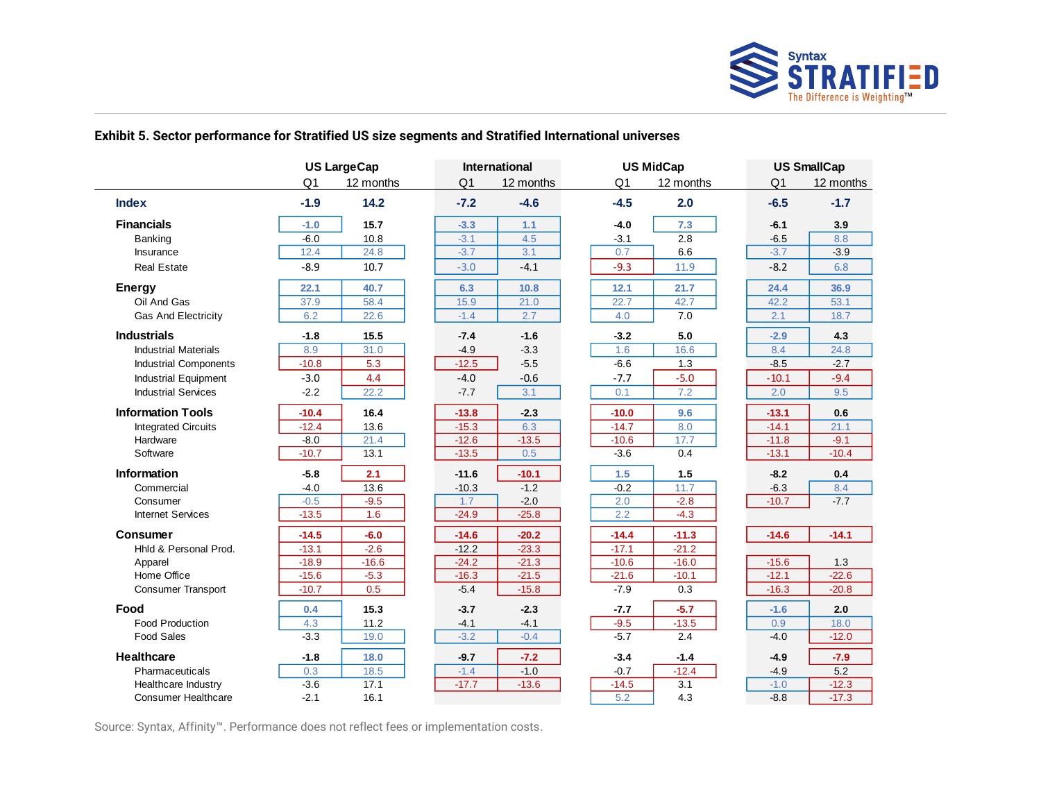

## **Exhibit 5. Sector performance for Stratified US size segments and Stratified International universes**

|                              | <b>US LargeCap</b> |           |                | International |         | <b>US MidCap</b> |                | <b>US SmallCap</b> |  |
|------------------------------|--------------------|-----------|----------------|---------------|---------|------------------|----------------|--------------------|--|
|                              | Q <sub>1</sub>     | 12 months | Q <sub>1</sub> | 12 months     | Q1      | 12 months        | Q <sub>1</sub> | 12 months          |  |
| <b>Index</b>                 | $-1.9$             | 14.2      | $-7.2$         | $-4.6$        | $-4.5$  | 2.0              | $-6.5$         | $-1.7$             |  |
| <b>Financials</b>            | $-1.0$             | 15.7      | $-3.3$         | $1.1$         | $-4.0$  | 7.3              | $-6.1$         | 3.9                |  |
| Banking                      | $-6.0$             | 10.8      | $-3.1$         | 4.5           | $-3.1$  | 2.8              | $-6.5$         | 8.8                |  |
| Insurance                    | 12.4               | 24.8      | $-3.7$         | 3.1           | 0.7     | 6.6              | $-3.7$         | $-3.9$             |  |
| <b>Real Estate</b>           | $-8.9$             | 10.7      | $-3.0$         | $-4.1$        | $-9.3$  | 11.9             | $-8.2$         | 6.8                |  |
| <b>Energy</b>                | 22.1               | 40.7      | 6.3            | 10.8          | 12.1    | 21.7             | 24.4           | 36.9               |  |
| Oil And Gas                  | 37.9               | 58.4      | 15.9           | 21.0          | 22.7    | 42.7             | 42.2           | 53.1               |  |
| <b>Gas And Electricity</b>   | 6.2                | 22.6      | $-1.4$         | 2.7           | 4.0     | 7.0              | 2.1            | 18.7               |  |
| <b>Industrials</b>           | $-1.8$             | 15.5      | $-7.4$         | $-1.6$        | $-3.2$  | 5.0              | $-2.9$         | 4.3                |  |
| <b>Industrial Materials</b>  | 8.9                | 31.0      | $-4.9$         | $-3.3$        | 1.6     | 16.6             | 8.4            | 24.8               |  |
| <b>Industrial Components</b> | $-10.8$            | 5.3       | $-12.5$        | $-5.5$        | $-6.6$  | 1.3              | $-8.5$         | $-2.7$             |  |
| <b>Industrial Equipment</b>  | $-3.0$             | 4.4       | $-4.0$         | $-0.6$        | $-7.7$  | $-5.0$           | $-10.1$        | $-9.4$             |  |
| <b>Industrial Services</b>   | $-2.2$             | 22.2      | $-7.7$         | 3.1           | 0.1     | 7.2              | 2.0            | 9.5                |  |
| <b>Information Tools</b>     | $-10.4$            | 16.4      | $-13.8$        | $-2.3$        | $-10.0$ | 9.6              | $-13.1$        | 0.6                |  |
| <b>Integrated Circuits</b>   | $-12.4$            | 13.6      | $-15.3$        | 6.3           | $-14.7$ | 8.0              | $-14.1$        | 21.1               |  |
| Hardware                     | $-8.0$             | 21.4      | $-12.6$        | $-13.5$       | $-10.6$ | 17.7             | $-11.8$        | $-9.1$             |  |
| Software                     | $-10.7$            | 13.1      | $-13.5$        | 0.5           | $-3.6$  | 0.4              | $-13.1$        | $-10.4$            |  |
| <b>Information</b>           | $-5.8$             | 2.1       | $-11.6$        | $-10.1$       | 1.5     | 1.5              | $-8.2$         | 0.4                |  |
| Commercial                   | $-4.0$             | 13.6      | $-10.3$        | $-1.2$        | $-0.2$  | 11.7             | $-6.3$         | 8.4                |  |
| Consumer                     | $-0.5$             | $-9.5$    | 1.7            | $-2.0$        | 2.0     | $-2.8$           | $-10.7$        | $-7.7$             |  |
| <b>Internet Services</b>     | $-13.5$            | 1.6       | $-24.9$        | $-25.8$       | 2.2     | $-4.3$           |                |                    |  |
| Consumer                     | $-14.5$            | $-6.0$    | $-14.6$        | $-20.2$       | $-14.4$ | $-11.3$          | $-14.6$        | $-14.1$            |  |
| Hhld & Personal Prod.        | $-13.1$            | $-2.6$    | $-12.2$        | $-23.3$       | $-17.1$ | $-21.2$          |                |                    |  |
| Apparel                      | $-18.9$            | $-16.6$   | $-24.2$        | $-21.3$       | $-10.6$ | $-16.0$          | $-15.6$        | 1.3                |  |
| Home Office                  | $-15.6$            | $-5.3$    | $-16.3$        | $-21.5$       | $-21.6$ | $-10.1$          | $-12.1$        | $-22.6$            |  |
| <b>Consumer Transport</b>    | $-10.7$            | 0.5       | $-5.4$         | $-15.8$       | $-7.9$  | 0.3              | $-16.3$        | $-20.8$            |  |
| Food                         | 0.4                | 15.3      | $-3.7$         | $-2.3$        | $-7.7$  | $-5.7$           | $-1.6$         | 2.0                |  |
| <b>Food Production</b>       | 4.3                | 11.2      | $-4.1$         | $-4.1$        | $-9.5$  | $-13.5$          | 0.9            | 18.0               |  |
| <b>Food Sales</b>            | $-3.3$             | 19.0      | $-3.2$         | $-0.4$        | $-5.7$  | 2.4              | $-4.0$         | $-12.0$            |  |
| <b>Healthcare</b>            | $-1.8$             | 18.0      | $-9.7$         | $-7.2$        | $-3.4$  | $-1.4$           | $-4.9$         | $-7.9$             |  |
| Pharmaceuticals              | 0.3                | 18.5      | $-1.4$         | $-1.0$        | $-0.7$  | $-12.4$          | $-4.9$         | 5.2                |  |
| Healthcare Industry          | $-3.6$             | 17.1      | $-17.7$        | $-13.6$       | $-14.5$ | 3.1              | $-1.0$         | $-12.3$            |  |
| <b>Consumer Healthcare</b>   | $-2.1$             | 16.1      |                |               | 5.2     | 4.3              | $-8.8$         | $-17.3$            |  |

Source: Syntax, Affinity™. Performance does not reflect fees or implementation costs.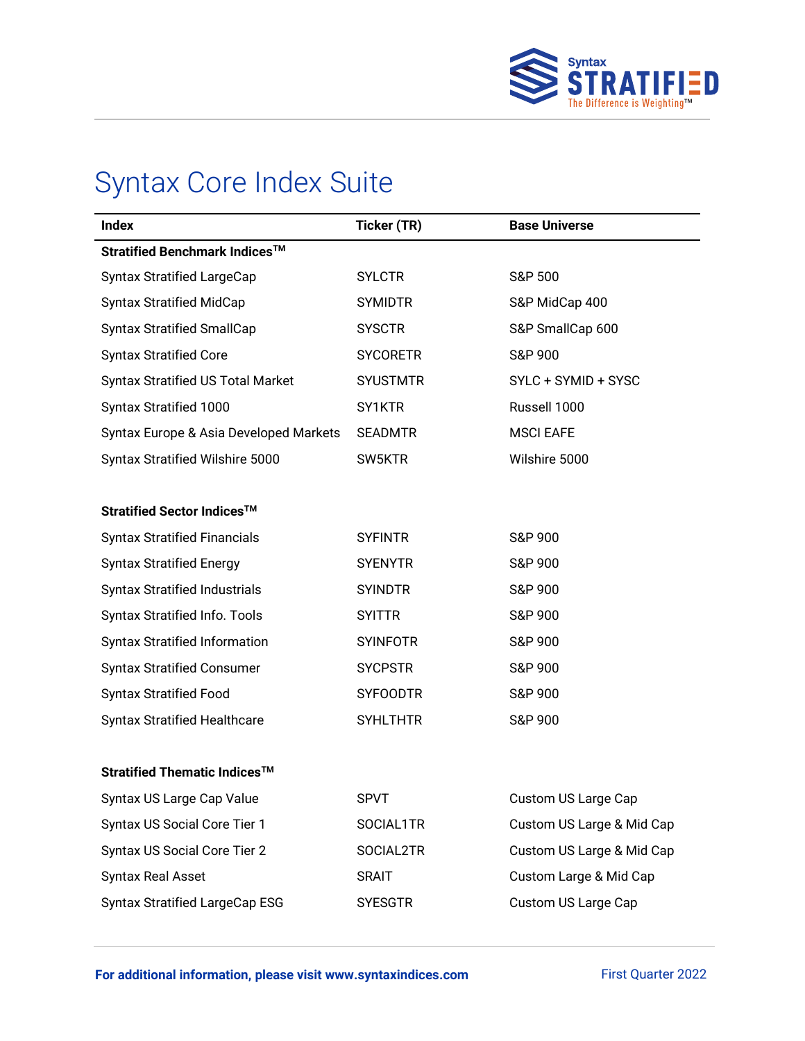

# Syntax Core Index Suite

| <b>Index</b>                             | Ticker (TR)     | <b>Base Universe</b>      |
|------------------------------------------|-----------------|---------------------------|
| Stratified Benchmark Indices™            |                 |                           |
| <b>Syntax Stratified LargeCap</b>        | <b>SYLCTR</b>   | <b>S&amp;P 500</b>        |
| <b>Syntax Stratified MidCap</b>          | <b>SYMIDTR</b>  | S&P MidCap 400            |
| <b>Syntax Stratified SmallCap</b>        | <b>SYSCTR</b>   | S&P SmallCap 600          |
| <b>Syntax Stratified Core</b>            | <b>SYCORETR</b> | S&P 900                   |
| <b>Syntax Stratified US Total Market</b> | <b>SYUSTMTR</b> | SYLC + SYMID + SYSC       |
| Syntax Stratified 1000                   | SY1KTR          | Russell 1000              |
| Syntax Europe & Asia Developed Markets   | <b>SEADMTR</b>  | <b>MSCI EAFE</b>          |
| Syntax Stratified Wilshire 5000          | SW5KTR          | Wilshire 5000             |
|                                          |                 |                           |
| Stratified Sector Indices™               |                 |                           |
| <b>Syntax Stratified Financials</b>      | <b>SYFINTR</b>  | S&P 900                   |
| <b>Syntax Stratified Energy</b>          | <b>SYENYTR</b>  | S&P 900                   |
| <b>Syntax Stratified Industrials</b>     | <b>SYINDTR</b>  | S&P 900                   |
| Syntax Stratified Info. Tools            | <b>SYITTR</b>   | S&P 900                   |
| <b>Syntax Stratified Information</b>     | <b>SYINFOTR</b> | S&P 900                   |
| <b>Syntax Stratified Consumer</b>        | <b>SYCPSTR</b>  | S&P 900                   |
| <b>Syntax Stratified Food</b>            | <b>SYFOODTR</b> | S&P 900                   |
| <b>Syntax Stratified Healthcare</b>      | <b>SYHLTHTR</b> | S&P 900                   |
|                                          |                 |                           |
| Stratified Thematic Indices <sup>™</sup> |                 |                           |
| Syntax US Large Cap Value                | <b>SPVT</b>     | Custom US Large Cap       |
| Syntax US Social Core Tier 1             | SOCIAL1TR       | Custom US Large & Mid Cap |
| Syntax US Social Core Tier 2             | SOCIAL2TR       | Custom US Large & Mid Cap |
| Syntax Real Asset                        | <b>SRAIT</b>    | Custom Large & Mid Cap    |
| <b>Syntax Stratified LargeCap ESG</b>    | <b>SYESGTR</b>  | Custom US Large Cap       |